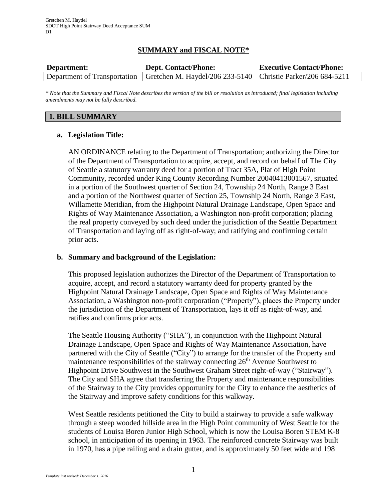## **SUMMARY and FISCAL NOTE\***

| Department: | <b>Dept. Contact/Phone:</b>                                                                   | <b>Executive Contact/Phone:</b> |
|-------------|-----------------------------------------------------------------------------------------------|---------------------------------|
|             | Department of Transportation   Gretchen M. Haydel/206 233-5140   Christie Parker/206 684-5211 |                                 |

*\* Note that the Summary and Fiscal Note describes the version of the bill or resolution as introduced; final legislation including amendments may not be fully described.*

#### **1. BILL SUMMARY**

#### **a. Legislation Title:**

AN ORDINANCE relating to the Department of Transportation; authorizing the Director of the Department of Transportation to acquire, accept, and record on behalf of The City of Seattle a statutory warranty deed for a portion of Tract 35A, Plat of High Point Community, recorded under King County Recording Number 20040413001567, situated in a portion of the Southwest quarter of Section 24, Township 24 North, Range 3 East and a portion of the Northwest quarter of Section 25, Township 24 North, Range 3 East, Willamette Meridian, from the Highpoint Natural Drainage Landscape, Open Space and Rights of Way Maintenance Association, a Washington non-profit corporation; placing the real property conveyed by such deed under the jurisdiction of the Seattle Department of Transportation and laying off as right-of-way; and ratifying and confirming certain prior acts.

#### **b. Summary and background of the Legislation:**

This proposed legislation authorizes the Director of the Department of Transportation to acquire, accept, and record a statutory warranty deed for property granted by the Highpoint Natural Drainage Landscape, Open Space and Rights of Way Maintenance Association, a Washington non-profit corporation ("Property"), places the Property under the jurisdiction of the Department of Transportation, lays it off as right-of-way, and ratifies and confirms prior acts.

The Seattle Housing Authority ("SHA"), in conjunction with the Highpoint Natural Drainage Landscape, Open Space and Rights of Way Maintenance Association, have partnered with the City of Seattle ("City") to arrange for the transfer of the Property and maintenance responsibilities of the stairway connecting  $26<sup>th</sup>$  Avenue Southwest to Highpoint Drive Southwest in the Southwest Graham Street right-of-way ("Stairway"). The City and SHA agree that transferring the Property and maintenance responsibilities of the Stairway to the City provides opportunity for the City to enhance the aesthetics of the Stairway and improve safety conditions for this walkway.

West Seattle residents petitioned the City to build a stairway to provide a safe walkway through a steep wooded hillside area in the High Point community of West Seattle for the students of Louisa Boren Junior High School, which is now the Louisa Boren STEM K-8 school, in anticipation of its opening in 1963. The reinforced concrete Stairway was built in 1970, has a pipe railing and a drain gutter, and is approximately 50 feet wide and 198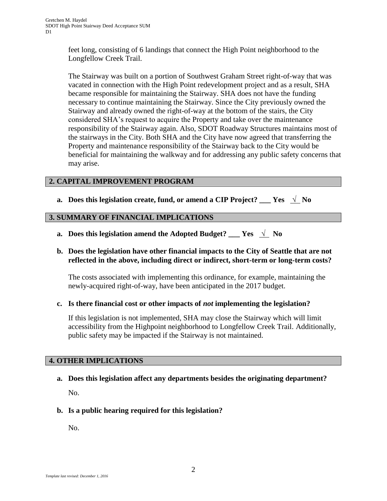feet long, consisting of 6 landings that connect the High Point neighborhood to the Longfellow Creek Trail.

The Stairway was built on a portion of Southwest Graham Street right-of-way that was vacated in connection with the High Point redevelopment project and as a result, SHA became responsible for maintaining the Stairway. SHA does not have the funding necessary to continue maintaining the Stairway. Since the City previously owned the Stairway and already owned the right-of-way at the bottom of the stairs, the City considered SHA's request to acquire the Property and take over the maintenance responsibility of the Stairway again. Also, SDOT Roadway Structures maintains most of the stairways in the City. Both SHA and the City have now agreed that transferring the Property and maintenance responsibility of the Stairway back to the City would be beneficial for maintaining the walkway and for addressing any public safety concerns that may arise.

# **2. CAPITAL IMPROVEMENT PROGRAM**

**a.** Does this legislation create, fund, or amend a CIP Project? Yes  $\sqrt{\ }$  No

## **3. SUMMARY OF FINANCIAL IMPLICATIONS**

**a.** Does this legislation amend the Adopted Budget?  $Y$ es  $\sqrt{N_0}$ 

## **b. Does the legislation have other financial impacts to the City of Seattle that are not reflected in the above, including direct or indirect, short-term or long-term costs?**

The costs associated with implementing this ordinance, for example, maintaining the newly-acquired right-of-way, have been anticipated in the 2017 budget.

#### **c. Is there financial cost or other impacts of** *not* **implementing the legislation?**

If this legislation is not implemented, SHA may close the Stairway which will limit accessibility from the Highpoint neighborhood to Longfellow Creek Trail. Additionally, public safety may be impacted if the Stairway is not maintained.

#### **4. OTHER IMPLICATIONS**

**a. Does this legislation affect any departments besides the originating department?**

No.

**b. Is a public hearing required for this legislation?**

No.